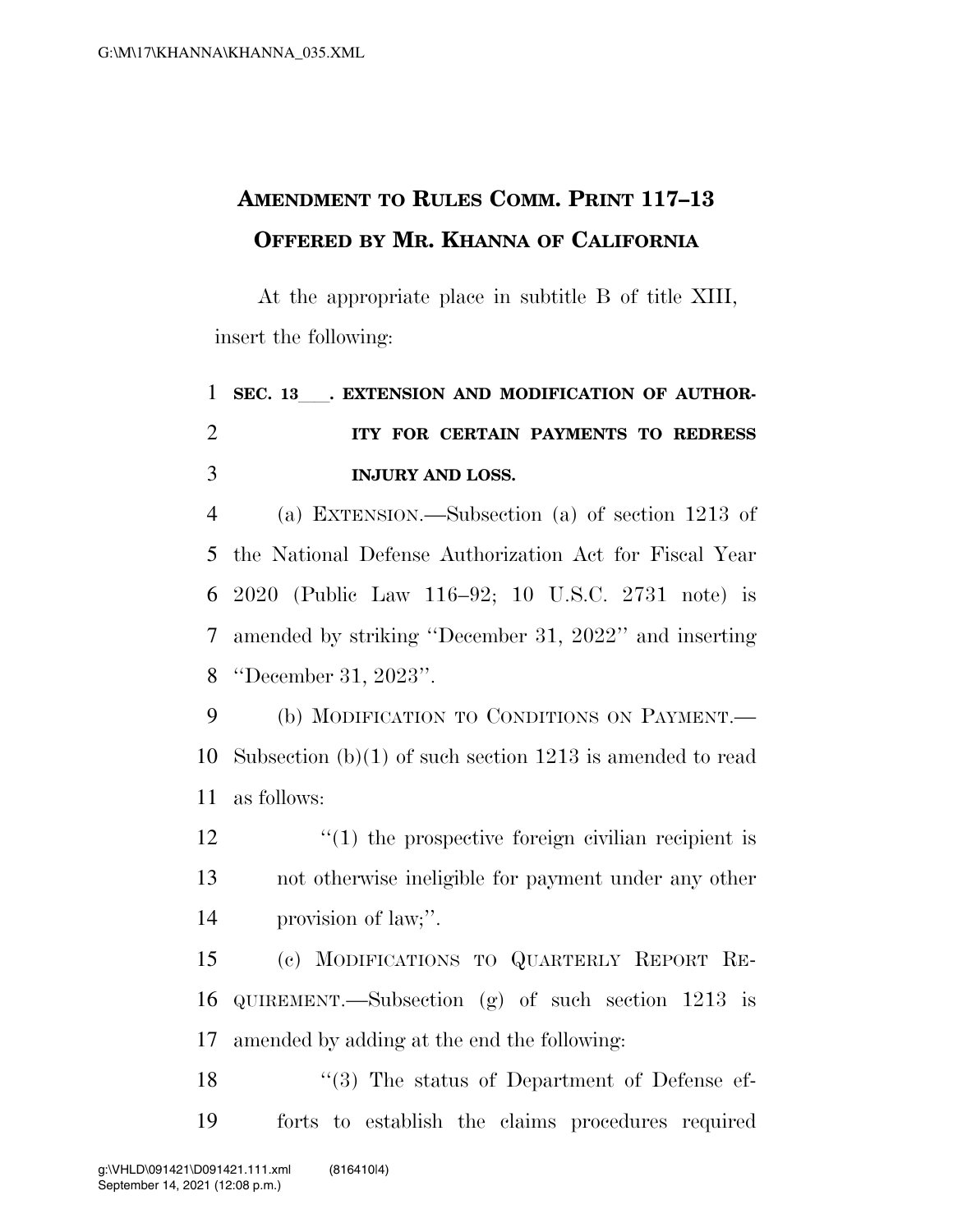## **AMENDMENT TO RULES COMM. PRINT 117–13 OFFERED BY MR. KHANNA OF CALIFORNIA**

At the appropriate place in subtitle B of title XIII, insert the following:

## 1 SEC. 13 **. EXTENSION AND MODIFICATION OF AUTHOR- ITY FOR CERTAIN PAYMENTS TO REDRESS INJURY AND LOSS.**

 (a) EXTENSION.—Subsection (a) of section 1213 of the National Defense Authorization Act for Fiscal Year 2020 (Public Law 116–92; 10 U.S.C. 2731 note) is amended by striking ''December 31, 2022'' and inserting ''December 31, 2023''.

 (b) MODIFICATION TO CONDITIONS ON PAYMENT.— Subsection (b)(1) of such section 1213 is amended to read as follows:

12  $\frac{1}{2}$  (1) the prospective foreign civilian recipient is not otherwise ineligible for payment under any other provision of law;''.

 (c) MODIFICATIONS TO QUARTERLY REPORT RE- QUIREMENT.—Subsection (g) of such section 1213 is amended by adding at the end the following:

18 ''(3) The status of Department of Defense ef-forts to establish the claims procedures required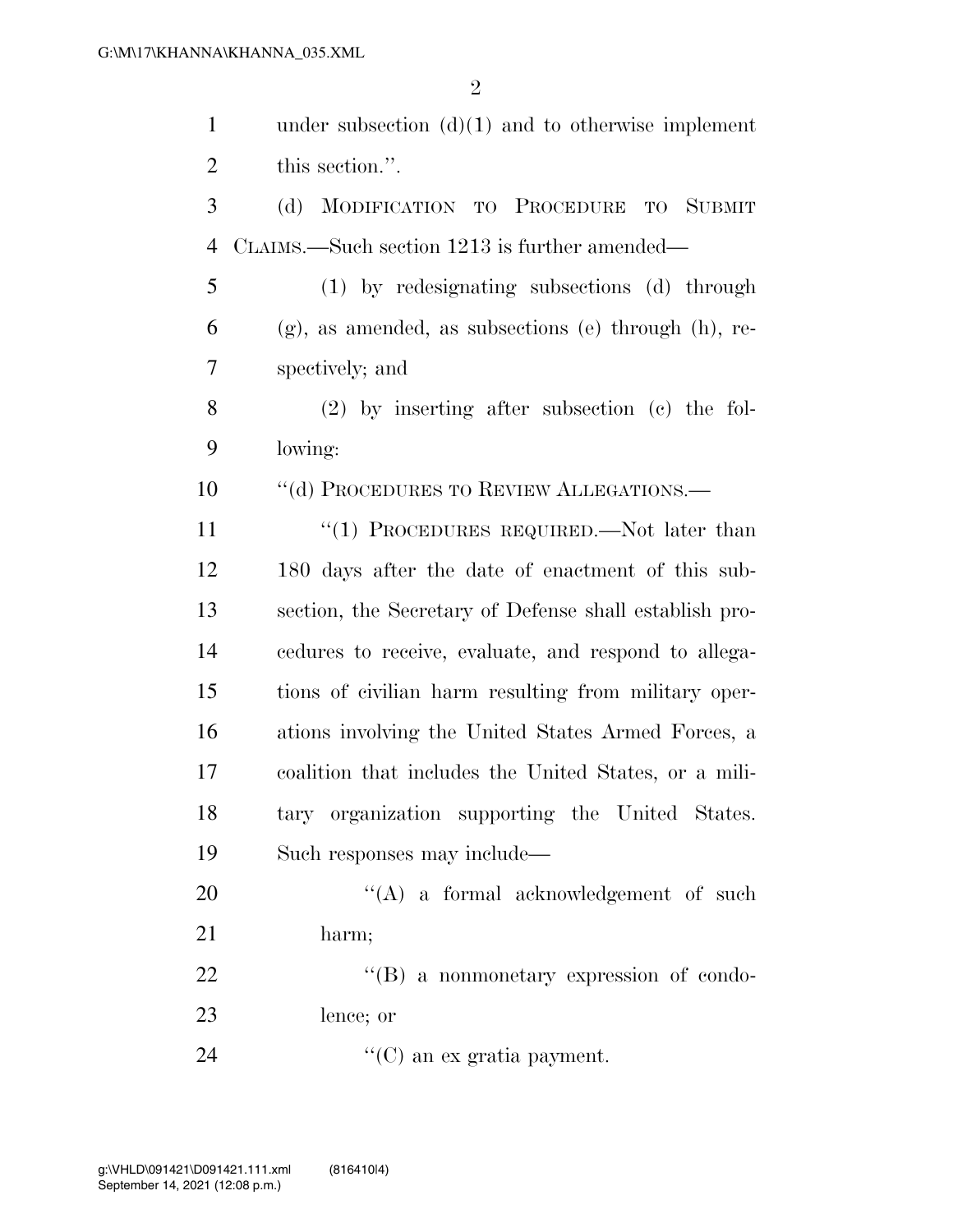| $\mathbf{1}$   | under subsection $(d)(1)$ and to otherwise implement    |
|----------------|---------------------------------------------------------|
| $\overline{2}$ | this section.".                                         |
| 3              | MODIFICATION TO PROCEDURE TO SUBMIT<br>(d)              |
| $\overline{4}$ | CLAIMS.—Such section 1213 is further amended—           |
| 5              | (1) by redesignating subsections (d) through            |
| 6              | $(g)$ , as amended, as subsections (e) through (h), re- |
| 7              | spectively; and                                         |
| 8              | $(2)$ by inserting after subsection $(e)$ the fol-      |
| 9              | lowing:                                                 |
| 10             | "(d) PROCEDURES TO REVIEW ALLEGATIONS.—                 |
| 11             | "(1) PROCEDURES REQUIRED.—Not later than                |
| 12             | 180 days after the date of enactment of this sub-       |
| 13             | section, the Secretary of Defense shall establish pro-  |
| 14             | cedures to receive, evaluate, and respond to allega-    |
| 15             | tions of civilian harm resulting from military oper-    |
| 16             | ations involving the United States Armed Forces, a      |
| 17             | coalition that includes the United States, or a mili-   |
| 18             | tary organization supporting the United States.         |
| 19             | Such responses may include—                             |
| 20             | "(A) a formal acknowledgement of such                   |
| 21             | harm;                                                   |
| 22             | $\lq\lq (B)$ a nonmonetary expression of condo-         |
| 23             | lence; or                                               |
| 24             | $\lq\lq$ (C) an ex gratia payment.                      |